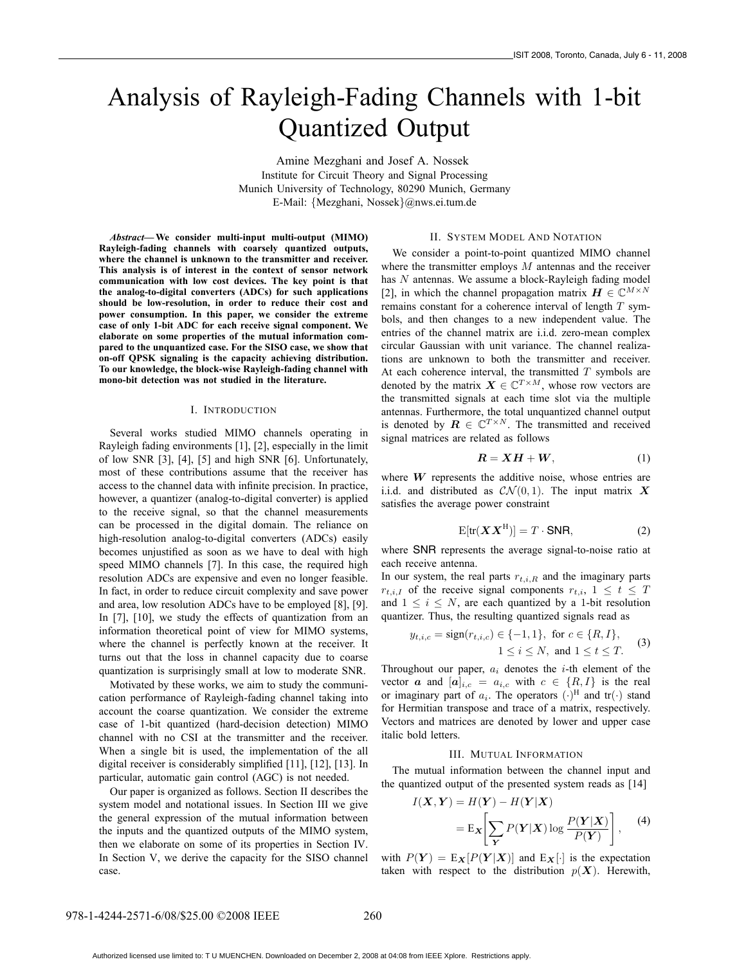# Analysis of Rayleigh-Fading Channels with 1-bit Quantized Output

Amine Mezghani and Josef A. Nossek Institute for Circuit Theory and Signal Processing Munich University of Technology, 80290 Munich, Germany E-Mail: {Mezghani, Nossek}@nws.ei.tum.de

*Abstract***—We consider multi-input multi-output (MIMO) Rayleigh-fading channels with coarsely quantized outputs, where the channel is unknown to the transmitter and receiver. This analysis is of interest in the context of sensor network communication with low cost devices. The key point is that the analog-to-digital converters (ADCs) for such applications should be low-resolution, in order to reduce their cost and power consumption. In this paper, we consider the extreme case of only 1-bit ADC for each receive signal component. We elaborate on some properties of the mutual information compared to the unquantized case. For the SISO case, we show that on-off QPSK signaling is the capacity achieving distribution. To our knowledge, the block-wise Rayleigh-fading channel with mono-bit detection was not studied in the literature.**

# I. INTRODUCTION

Several works studied MIMO channels operating in Rayleigh fading environments [1], [2], especially in the limit of low SNR [3], [4], [5] and high SNR [6]. Unfortunately, most of these contributions assume that the receiver has access to the channel data with infinite precision. In practice, however, a quantizer (analog-to-digital converter) is applied to the receive signal, so that the channel measurements can be processed in the digital domain. The reliance on high-resolution analog-to-digital converters (ADCs) easily becomes unjustified as soon as we have to deal with high speed MIMO channels [7]. In this case, the required high resolution ADCs are expensive and even no longer feasible. In fact, in order to reduce circuit complexity and save power and area, low resolution ADCs have to be employed [8], [9]. In [7], [10], we study the effects of quantization from an information theoretical point of view for MIMO systems, where the channel is perfectly known at the receiver. It turns out that the loss in channel capacity due to coarse quantization is surprisingly small at low to moderate SNR.

Motivated by these works, we aim to study the communication performance of Rayleigh-fading channel taking into account the coarse quantization. We consider the extreme case of 1-bit quantized (hard-decision detection) MIMO channel with no CSI at the transmitter and the receiver. When a single bit is used, the implementation of the all digital receiver is considerably simplified [11], [12], [13]. In particular, automatic gain control (AGC) is not needed.

Our paper is organized as follows. Section II describes the system model and notational issues. In Section III we give the general expression of the mutual information between the inputs and the quantized outputs of the MIMO system, then we elaborate on some of its properties in Section IV. In Section V, we derive the capacity for the SISO channel case.

#### II. SYSTEM MODEL AND NOTATION

We consider a point-to-point quantized MIMO channel where the transmitter employs  $M$  antennas and the receiver has N antennas. We assume a block-Rayleigh fading model [2], in which the channel propagation matrix  $\mathbf{H} \in \mathbb{C}^{M \times N}$ remains constant for a coherence interval of length  $T$  symbols, and then changes to a new independent value. The entries of the channel matrix are i.i.d. zero-mean complex circular Gaussian with unit variance. The channel realizations are unknown to both the transmitter and receiver. At each coherence interval, the transmitted  $T$  symbols are denoted by the matrix  $\mathbf{X} \in \mathbb{C}^{T \times M}$ , whose row vectors are the transmitted signals at each time slot via the multiple antennas. Furthermore, the total unquantized channel output is denoted by  $\mathbf{R} \in \mathbb{C}^{T \times N}$ . The transmitted and received signal matrices are related as follows

$$
R = XH + W, \tag{1}
$$

where  $W$  represents the additive noise, whose entries are i.i.d. and distributed as  $CN(0, 1)$ . The input matrix **X** satisfies the average power constraint

$$
E[tr(\boldsymbol{X}\boldsymbol{X}^H)] = T \cdot \text{SNR}, \tag{2}
$$

where SNR represents the average signal-to-noise ratio at each receive antenna.

In our system, the real parts  $r_{t,i,R}$  and the imaginary parts  $r_{t,i,I}$  of the receive signal components  $r_{t,i}$ ,  $1 \leq t \leq T$ and  $1 \leq i \leq N$ , are each quantized by a 1-bit resolution quantizer. Thus, the resulting quantized signals read as

$$
y_{t,i,c} = sign(r_{t,i,c}) \in \{-1, 1\}, \text{ for } c \in \{R, I\},
$$
  

$$
1 \le i \le N, \text{ and } 1 \le t \le T.
$$
 (3)

Throughout our paper,  $a_i$  denotes the *i*-th element of the vector **a** and  $[a]_{i,c} = a_{i,c}$  with  $c \in \{R, I\}$  is the real or imaginary part of  $a_i$ . The operators  $(\cdot)^H$  and  $tr(\cdot)$  stand for Hermitian transpose and trace of a matrix, respectively. Vectors and matrices are denoted by lower and upper case italic bold letters.

# III. MUTUAL INFORMATION

The mutual information between the channel input and the quantized output of the presented system reads as [14]

$$
I(\mathbf{X}, \mathbf{Y}) = H(\mathbf{Y}) - H(\mathbf{Y}|\mathbf{X})
$$
  
=  $\mathbb{E}_{\mathbf{X}} \left[ \sum_{\mathbf{Y}} P(\mathbf{Y}|\mathbf{X}) \log \frac{P(\mathbf{Y}|\mathbf{X})}{P(\mathbf{Y})} \right],$  (4)

with  $P(Y) = E_X[P(Y|X)]$  and  $E_X[\cdot]$  is the expectation taken with respect to the distribution  $p(X)$ . Herewith,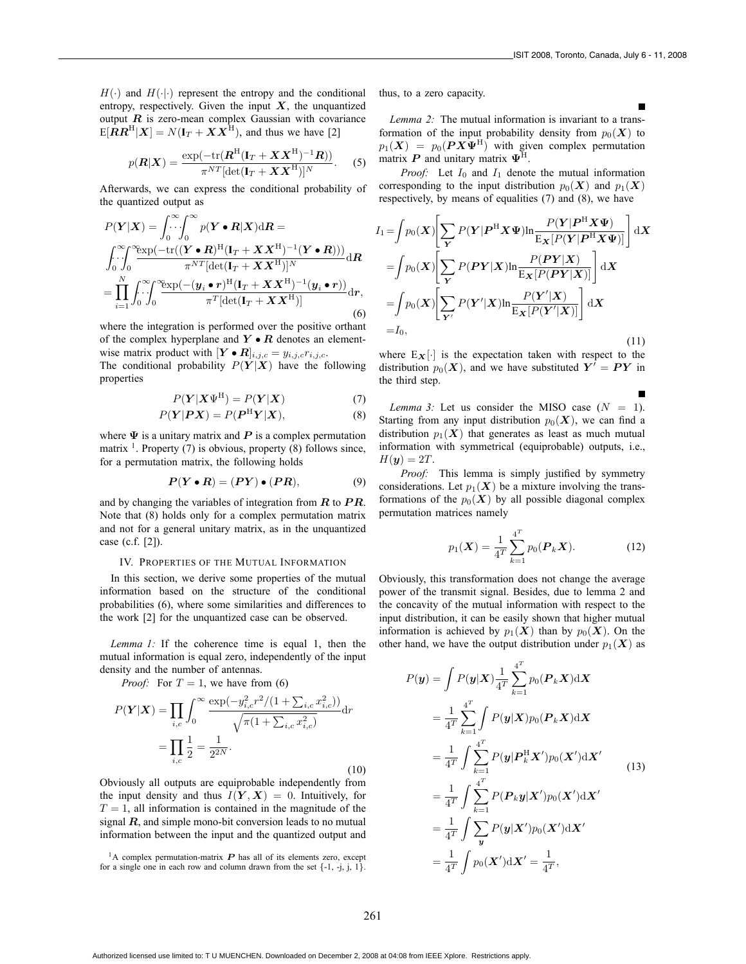$H(\cdot)$  and  $H(\cdot|\cdot)$  represent the entropy and the conditional entropy, respectively. Given the input  $X$ , the unquantized output  $\boldsymbol{R}$  is zero-mean complex Gaussian with covariance  $E[RR^H|X] = N(I_T + XX^H)$ , and thus we have [2]

$$
p(\boldsymbol{R}|\boldsymbol{X}) = \frac{\exp(-\text{tr}(\boldsymbol{R}^{\text{H}}(\mathbf{I}_T + \boldsymbol{X}\boldsymbol{X}^{\text{H}})^{-1}\boldsymbol{R}))}{\pi^{NT}[\text{det}(\mathbf{I}_T + \boldsymbol{X}\boldsymbol{X}^{\text{H}})]^N}.
$$
 (5)

Afterwards, we can express the conditional probability of the quantized output as

$$
P(Y|X) = \int_0^\infty \int_0^\infty p(Y \cdot R|X) dR =
$$
  

$$
\int_0^\infty \int_0^\infty \frac{\exp(-\text{tr}((Y \cdot R)^H (I_T + XX^H)^{-1} (Y \cdot R)))}{\pi^{NT} [\text{det}(I_T + XX^H)]^N} dR
$$
  

$$
= \prod_{i=1}^N \int_0^\infty \int_0^\infty \frac{\exp(-(y_i \cdot r)^H (I_T + XX^H)^{-1} (y_i \cdot r))}{\pi^T [\text{det}(I_T + XX^H)]} dr,
$$
  
(6)

where the integration is performed over the positive orthant of the complex hyperplane and  $Y \bullet R$  denotes an elementwise matrix product with  $[\mathbf{Y} \bullet \mathbf{R}]_{i,j,c} = y_{i,j,c} r_{i,j,c}$ .

The conditional probability  $P(Y|X)$  have the following properties

$$
P(Y|X\Psi^{H}) = P(Y|X)
$$
\n(7)

$$
P(Y|PX) = P(P^{H}Y|X),
$$
\n(8)

where  $\Psi$  is a unitary matrix and  $P$  is a complex permutation matrix  $<sup>1</sup>$ . Property (7) is obvious, property (8) follows since,</sup> for a permutation matrix, the following holds

$$
P(Y \bullet R) = (PY) \bullet (PR), \tag{9}
$$

and by changing the variables of integration from **R** to **PR**. Note that (8) holds only for a complex permutation matrix and not for a general unitary matrix, as in the unquantized case (c.f. [2]).

#### IV. PROPERTIES OF THE MUTUAL INFORMATION

In this section, we derive some properties of the mutual information based on the structure of the conditional probabilities (6), where some similarities and differences to the work [2] for the unquantized case can be observed.

*Lemma 1:* If the coherence time is equal 1, then the mutual information is equal zero, independently of the input density and the number of antennas.

*Proof:* For  $T = 1$ , we have from (6)

$$
P(\mathbf{Y}|\mathbf{X}) = \prod_{i,c} \int_0^\infty \frac{\exp(-y_{i,c}^2 r^2 / (1 + \sum_{i,c} x_{i,c}^2))}{\sqrt{\pi (1 + \sum_{i,c} x_{i,c}^2)}} dr
$$
  
= 
$$
\prod_{i,c} \frac{1}{2} = \frac{1}{2^{2N}}.
$$

(10)

Obviously all outputs are equiprobable independently from the input density and thus  $I(Y, X) = 0$ . Intuitively, for  $T = 1$ , all information is contained in the magnitude of the signal  $R$ , and simple mono-bit conversion leads to no mutual information between the input and the quantized output and

<sup>1</sup>A complex permutation-matrix  $P$  has all of its elements zero, except for a single one in each row and column drawn from the set  $\{-1, -j, j, 1\}$ . thus, to a zero capacity.

*Lemma 2:* The mutual information is invariant to a transformation of the input probability density from  $p_0(\mathbf{X})$  to  $p_1(X) = p_0(PX\Psi^H)$  with given complex permutation matrix  $\mathbf{P}$  and unitary matrix  $\Psi^{\mathrm{H}}$ .

*Proof:* Let  $I_0$  and  $I_1$  denote the mutual information corresponding to the input distribution  $p_0(X)$  and  $p_1(X)$ respectively, by means of equalities (7) and (8), we have

$$
I_{1} = \int p_{0}(X) \left[ \sum_{Y} P(Y|P^{H}X\Psi) \ln \frac{P(Y|P^{H}X\Psi)}{E_{X}[P(Y|P^{H}X\Psi)]} \right] dX
$$
  
\n
$$
= \int p_{0}(X) \left[ \sum_{Y} P(PY|X) \ln \frac{P(PY|X)}{E_{X}[P(PY|X)]} \right] dX
$$
  
\n
$$
= \int p_{0}(X) \left[ \sum_{Y'} P(Y'|X) \ln \frac{P(Y'|X)}{E_{X}[P(Y'|X)]} \right] dX
$$
  
\n
$$
= I_{0}, \qquad (11)
$$

where  $E_X[\cdot]$  is the expectation taken with respect to the distribution  $p_0(X)$ , and we have substituted  $Y' = PY$  in the third step.

*Lemma 3:* Let us consider the MISO case  $(N = 1)$ . Starting from any input distribution  $p_0(\mathbf{X})$ , we can find a distribution  $p_1(X)$  that generates as least as much mutual information with symmetrical (equiprobable) outputs, i.e.,  $H(y)=2T$ .

*Proof:* This lemma is simply justified by symmetry considerations. Let  $p_1(\mathbf{X})$  be a mixture involving the transformations of the  $p_0(X)$  by all possible diagonal complex permutation matrices namely

$$
p_1(\boldsymbol{X}) = \frac{1}{4^T} \sum_{k=1}^{4^T} p_0(\boldsymbol{P}_k \boldsymbol{X}).
$$
 (12)

Obviously, this transformation does not change the average power of the transmit signal. Besides, due to lemma 2 and the concavity of the mutual information with respect to the input distribution, it can be easily shown that higher mutual information is achieved by  $p_1(\mathbf{X})$  than by  $p_0(\mathbf{X})$ . On the other hand, we have the output distribution under  $p_1(\mathbf{X})$  as

$$
P(\mathbf{y}) = \int P(\mathbf{y}|\mathbf{X}) \frac{1}{4^T} \sum_{k=1}^{4^T} p_0(\mathbf{P}_k \mathbf{X}) d\mathbf{X}
$$
  
\n
$$
= \frac{1}{4^T} \sum_{k=1}^{4^T} \int P(\mathbf{y}|\mathbf{X}) p_0(\mathbf{P}_k \mathbf{X}) d\mathbf{X}
$$
  
\n
$$
= \frac{1}{4^T} \int \sum_{k=1}^{4^T} P(\mathbf{y}|\mathbf{P}_k^{\mathrm{H}} \mathbf{X}') p_0(\mathbf{X}') d\mathbf{X}'
$$
  
\n
$$
= \frac{1}{4^T} \int \sum_{k=1}^{4^T} P(\mathbf{P}_k \mathbf{y}|\mathbf{X}') p_0(\mathbf{X}') d\mathbf{X}'
$$
  
\n
$$
= \frac{1}{4^T} \int \sum_{\mathbf{y}} P(\mathbf{y}|\mathbf{X}') p_0(\mathbf{X}') d\mathbf{X}'
$$
  
\n
$$
= \frac{1}{4^T} \int p_0(\mathbf{X}') d\mathbf{X}' = \frac{1}{4^T},
$$

Authorized licensed use limited to: T U MUENCHEN. Downloaded on December 2, 2008 at 04:08 from IEEE Xplore. Restrictions apply.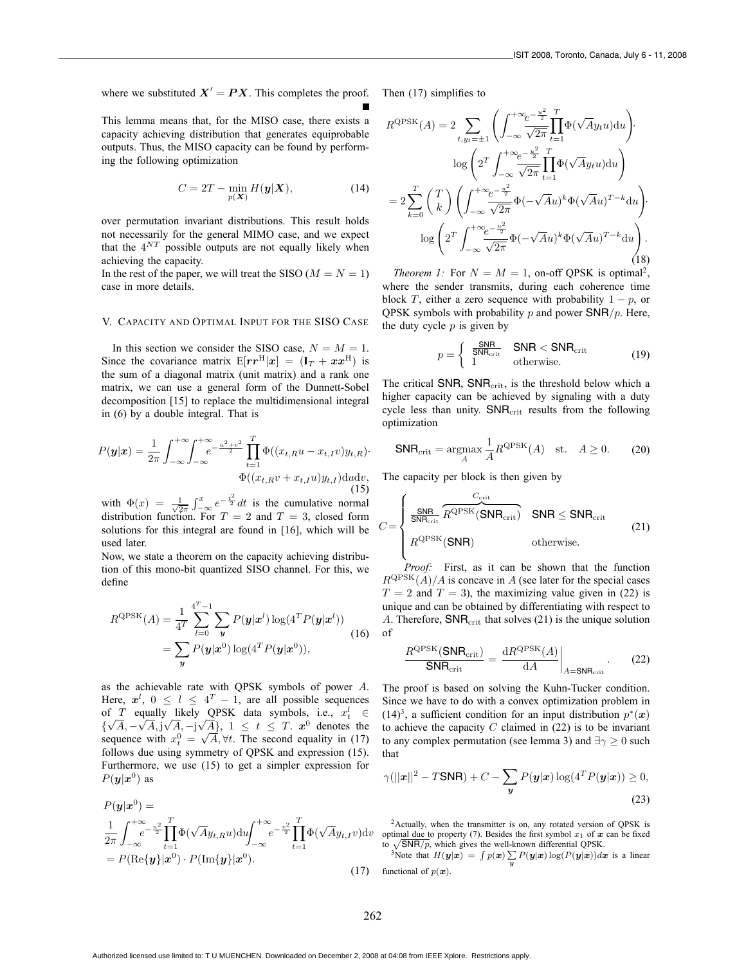where we substituted  $X' = PX$ . This completes the proof.

This lemma means that, for the MISO case, there exists a capacity achieving distribution that generates equiprobable outputs. Thus, the MISO capacity can be found by performing the following optimization

$$
C = 2T - \min_{p(\mathbf{X})} H(\mathbf{y}|\mathbf{X}),\tag{14}
$$

over permutation invariant distributions. This result holds not necessarily for the general MIMO case, and we expect that the  $4^{NT}$  possible outputs are not equally likely when achieving the capacity.

In the rest of the paper, we will treat the SISO ( $M = N = 1$ ) case in more details.

# V. CAPACITY AND OPTIMAL INPUT FOR THE SISO CASE

In this section we consider the SISO case,  $N = M = 1$ . Since the covariance matrix  $E[r r^{H}|\mathbf{x}] = (\mathbf{I}_T + \mathbf{x} \mathbf{x}^{H})$  is the sum of a diagonal matrix (unit matrix) and a rank one matrix, we can use a general form of the Dunnett-Sobel decomposition [15] to replace the multidimensional integral in (6) by a double integral. That is

$$
P(\mathbf{y}|\mathbf{x}) = \frac{1}{2\pi} \int_{-\infty}^{+\infty} \int_{-\infty}^{+\infty} e^{-\frac{u^2 + v^2}{2}} \prod_{t=1}^{T} \Phi((x_{t,R}u - x_{t,I}v)y_{t,R}) \cdot \Phi((x_{t,R}v + x_{t,I}u)y_{t,I}) \, \mathrm{d}u \mathrm{d}v, \tag{15}
$$

with  $\Phi(x) = \frac{1}{\sqrt{2\pi}} \int_{-\infty}^{x} e^{-\frac{t^2}{2}} dt$  is the cumulative normal distribution function. For  $T = 2$  and  $T = 3$ , closed form solutions for this integral are found in [16], which will be used later.

Now, we state a theorem on the capacity achieving distribution of this mono-bit quantized SISO channel. For this, we define

$$
R^{\text{QPSK}}(A) = \frac{1}{4^T} \sum_{l=0}^{4^T-1} \sum_{y} P(y|x^l) \log(4^T P(y|x^l))
$$
  
= 
$$
\sum_{y} P(y|x^0) \log(4^T P(y|x^0)),
$$
 (16)

as the achievable rate with QPSK symbols of power A. Here,  $x^l$ ,  $0 \le l \le 4^T - 1$ , are all possible sequences of  $T$  equally likely QPSK data symbols, i.e.,  $x_t^l \in$ of *I* equally likely QPSK data symbols, i.e.,  $x_i \in {\sqrt{A}, -\sqrt{A}, j\sqrt{A}, -j\sqrt{A}}$ , 1 ≤ *t* ≤ *T*.  $x^0$  denotes the { $\forall A, \neg \forall A, \exists \forall A, \neg \exists \forall A \}$ ,  $1 \le t \le 1$ .  $x^3$  denotes the sequence with  $x_t^0 = \sqrt{A}, \forall t$ . The second equality in (17) follows due using symmetry of QPSK and expression (15). Furthermore, we use (15) to get a simpler expression for  $P(y|x^0)$  as

$$
P(\mathbf{y}|\mathbf{x}^{0}) =
$$
  
\n
$$
\frac{1}{2\pi} \int_{-\infty}^{+\infty} e^{-\frac{u^{2}}{2}} \prod_{t=1}^{T} \Phi(\sqrt{A}y_{t,R}u) du \int_{-\infty}^{+\infty} e^{-\frac{v^{2}}{2}} \prod_{t=1}^{T} \Phi(\sqrt{A}y_{t,I}v) dv
$$
  
\n
$$
= P(\text{Re}\{\mathbf{y}\}|\mathbf{x}^{0}) \cdot P(\text{Im}\{\mathbf{y}\}|\mathbf{x}^{0}).
$$
\n(17)

Then (17) simplifies to

$$
R^{\text{QPSK}}(A) = 2 \sum_{t,y_t=\pm 1} \left( \int_{-\infty}^{+\infty} \frac{e^{-\frac{u^2}{2}}}{\sqrt{2\pi}} \prod_{t=1}^{T} \Phi(\sqrt{A}y_t u) \, \mathrm{d}u \right) \cdot \log \left( 2^T \int_{-\infty}^{+\infty} \frac{e^{-\frac{u^2}{2}}}{\sqrt{2\pi}} \prod_{t=1}^{T} \Phi(\sqrt{A}y_t u) \, \mathrm{d}u \right)
$$
\n
$$
= 2 \sum_{k=0}^{T} \left( \int_{-\infty}^{T} \right) \left( \int_{-\infty}^{+\infty} \frac{e^{-\frac{u^2}{2}}}{\sqrt{2\pi}} \Phi(-\sqrt{A}u)^k \Phi(\sqrt{A}u)^{T-k} \, \mathrm{d}u \right) \cdot \log \left( 2^T \int_{-\infty}^{+\infty} \frac{e^{-\frac{u^2}{2}}}{\sqrt{2\pi}} \Phi(-\sqrt{A}u)^k \Phi(\sqrt{A}u)^{T-k} \, \mathrm{d}u \right). \tag{18}
$$

*Theorem 1:* For  $N = M = 1$ , on-off QPSK is optimal<sup>2</sup>, where the sender transmits, during each coherence time block T, either a zero sequence with probability  $1 - p$ , or QPSK symbols with probability  $p$  and power SNR/ $p$ . Here, the duty cycle  $p$  is given by

$$
p = \begin{cases} \frac{\text{SNR}}{\text{SNR}_{\text{crit}}} & \text{SNR} < \text{SNR}_{\text{crit}}\\ 1 & \text{otherwise.} \end{cases} \tag{19}
$$

The critical SNR,  $SNR_{\text{crit}}$ , is the threshold below which a higher capacity can be achieved by signaling with a duty cycle less than unity.  $SNR_{\text{crit}}$  results from the following optimization

$$
\mathsf{SNR}_{\text{crit}} = \underset{A}{\text{argmax}} \frac{1}{A} R^{\text{QPSK}}(A) \quad \text{st.} \quad A \ge 0. \tag{20}
$$

The capacity per block is then given by

$$
C = \begin{cases} \frac{\text{SNR}}{\text{SNR}_{\text{crit}}} \overbrace{R^{\text{QPSK}}(\text{SNR}_{\text{crit}})}^{\text{C}_{\text{crit}}} & \text{SNR} \leq \text{SNR}_{\text{crit}}\\ R^{\text{QPSK}}(\text{SNR}) & \text{otherwise.} \end{cases} \tag{21}
$$

*Proof:* First, as it can be shown that the function  $R^{QPSK}(A)/A$  is concave in A (see later for the special cases  $T = 2$  and  $T = 3$ ), the maximizing value given in (22) is unique and can be obtained by differentiating with respect to A. Therefore,  $SNR_{\text{crit}}$  that solves (21) is the unique solution of

$$
\frac{R^{\text{QPSK}}(\text{SNR}_{\text{crit}})}{\text{SNR}_{\text{crit}}} = \frac{\text{d}R^{\text{QPSK}}(A)}{\text{d}A}\bigg|_{A=\text{SNR}_{\text{crit}}}.
$$
 (22)

The proof is based on solving the Kuhn-Tucker condition. Since we have to do with a convex optimization problem in (14)<sup>3</sup>, a sufficient condition for an input distribution  $p^*(x)$ to achieve the capacity  $C$  claimed in  $(22)$  is to be invariant to any complex permutation (see lemma 3) and  $\exists \gamma \geq 0$  such that

$$
\gamma(||\mathbf{x}||^2 - T\mathbf{SNR}) + C - \sum_{\mathbf{y}} P(\mathbf{y}|\mathbf{x}) \log(4^T P(\mathbf{y}|\mathbf{x})) \ge 0,
$$
\n(23)

<sup>2</sup>Actually, when the transmitter is on, any rotated version of QPSK is optimal due to property (7). Besides the first symbol  $x_1$  of  $x$  can be fixed to  $\sqrt{\textsf{SNR}/p}$ , which gives the well-known differential QPSK.

<sup>3</sup>Note that  $H(\mathbf{y}|\mathbf{x}) = \int p(\mathbf{x}) \sum_{\mathbf{y}} P(\mathbf{y}|\mathbf{x}) \log(P(\mathbf{y}|\mathbf{x})) d\mathbf{x}$  is a linear functional of  $p(x)$ .

Authorized licensed use limited to: T U MUENCHEN. Downloaded on December 2, 2008 at 04:08 from IEEE Xplore. Restrictions apply.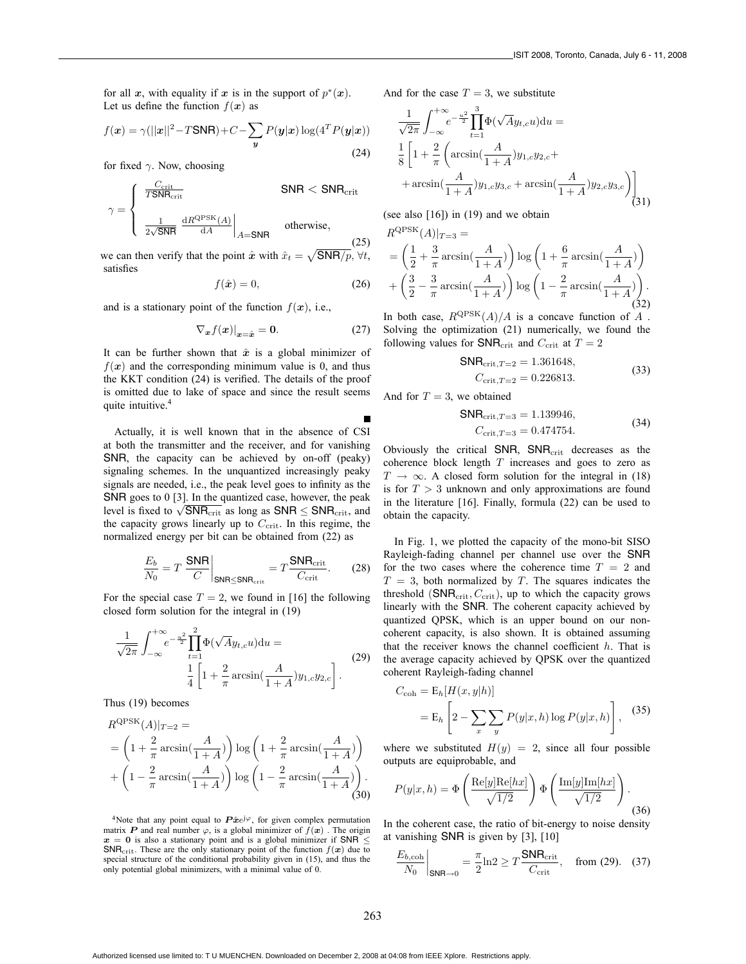for all  $x$ , with equality if  $x$  is in the support of  $p^*(x)$ . Let us define the function  $f(x)$  as

$$
f(\boldsymbol{x}) = \gamma(||\boldsymbol{x}||^2 - T\mathsf{SNR}) + C - \sum_{\boldsymbol{y}} P(\boldsymbol{y}|\boldsymbol{x}) \log(4^T P(\boldsymbol{y}|\boldsymbol{x}))
$$
\n(24)

for fixed  $\gamma$ . Now, choosing  $\sim$ 

$$
\gamma = \begin{cases} \frac{C_{\text{crit}}}{T \text{SNR}_{\text{crit}}} & \text{SNR} < \text{SNR}_{\text{crit}} \\ \frac{1}{2\sqrt{\text{SNR}}} \frac{dR^{\text{QPSK}}(A)}{dA} \Big|_{A=\text{SNR}} & \text{otherwise,} \end{cases}
$$
(25)

we can then verify that the point  $\hat{x}$  with  $\hat{x}_t = \sqrt{\text{SNR}/p}$ ,  $\forall t$ , satisfies

$$
f(\hat{\boldsymbol{x}}) = 0,\tag{26}
$$

and is a stationary point of the function  $f(x)$ , i.e.,

$$
\nabla_{\mathbf{x}} f(\mathbf{x})|_{\mathbf{x}=\hat{\mathbf{x}}} = \mathbf{0}.\tag{27}
$$

It can be further shown that  $\hat{x}$  is a global minimizer of  $f(x)$  and the corresponding minimum value is 0, and thus the KKT condition (24) is verified. The details of the proof is omitted due to lake of space and since the result seems quite intuitive.<sup>4</sup>

Actually, it is well known that in the absence of CSI at both the transmitter and the receiver, and for vanishing SNR, the capacity can be achieved by on-off (peaky) signaling schemes. In the unquantized increasingly peaky signals are needed, i.e., the peak level goes to infinity as the SNR goes to 0 [3]. In the quantized case, however, the peak level is fixed to  $\sqrt{\text{SNR}_{\text{crit}}}$  as long as SNR  $\leq$  SNR<sub>crit</sub>, and the capacity grows linearly up to  $C_{\text{crit}}$ . In this regime, the normalized energy per bit can be obtained from (22) as

$$
\frac{E_b}{N_0} = T \left. \frac{\text{SNR}}{C} \right|_{\text{SNR} \le \text{SNR}_{\text{crit}}} = T \frac{\text{SNR}_{\text{crit}}}{C_{\text{crit}}}.
$$
 (28)

For the special case  $T = 2$ , we found in [16] the following closed form solution for the integral in (19)

$$
\frac{1}{\sqrt{2\pi}} \int_{-\infty}^{+\infty} e^{-\frac{u^2}{2}} \prod_{t=1}^{2} \Phi(\sqrt{A}y_{t,c}u) du = \frac{1}{4} \left[ 1 + \frac{2}{\pi} \arcsin(\frac{A}{1+A}) y_{1,c} y_{2,c} \right].
$$
\n(29)

Thus (19) becomes

$$
R^{\text{QPSK}}(A)|_{T=2} =
$$
  
=  $\left(1 + \frac{2}{\pi} \arcsin\left(\frac{A}{1+A}\right)\right) \log\left(1 + \frac{2}{\pi} \arcsin\left(\frac{A}{1+A}\right)\right)$   
+  $\left(1 - \frac{2}{\pi} \arcsin\left(\frac{A}{1+A}\right)\right) \log\left(1 - \frac{2}{\pi} \arcsin\left(\frac{A}{1+A}\right)\right).$  (30)

<sup>4</sup>Note that any point equal to  $\hat{P} \hat{x} e^{j\varphi}$ , for given complex permutation matrix **P** and real number  $\varphi$ , is a global minimizer of  $f(\boldsymbol{x})$ . The origin  $x = 0$  is also a stationary point and is a global minimizer if SNR  $\leq$ SNR<sub>crit</sub>. These are the only stationary point of the function  $f(x)$  due to special structure of the conditional probability given in (15), and thus the only potential global minimizers, with a minimal value of 0.

And for the case  $T = 3$ , we substitute

$$
\frac{1}{\sqrt{2\pi}} \int_{-\infty}^{+\infty} e^{-\frac{u^2}{2}} \prod_{t=1}^{3} \Phi(\sqrt{A}y_{t,c}u) du =
$$
\n
$$
\frac{1}{8} \left[ 1 + \frac{2}{\pi} \left( \arcsin\left(\frac{A}{1+A}\right) y_{1,c} y_{2,c} + \right. \right.
$$
\n
$$
+ \arcsin\left(\frac{A}{1+A}\right) y_{1,c} y_{3,c} + \arcsin\left(\frac{A}{1+A}\right) y_{2,c} y_{3,c} \right) \Bigg] (31)
$$

(see also  $[16]$ ) in  $(19)$  and we obtain

$$
R^{\text{QPSK}}(A)|_{T=3} =
$$
  
=  $\left(\frac{1}{2} + \frac{3}{\pi} \arcsin\left(\frac{A}{1+A}\right)\right) \log\left(1 + \frac{6}{\pi} \arcsin\left(\frac{A}{1+A}\right)\right)$   
+  $\left(\frac{3}{2} - \frac{3}{\pi} \arcsin\left(\frac{A}{1+A}\right)\right) \log\left(1 - \frac{2}{\pi} \arcsin\left(\frac{A}{1+A}\right)\right).$  (32)

In both case,  $R^{QPSK}(A)/A$  is a concave function of A. Solving the optimization (21) numerically, we found the following values for  $SNR_{\text{crit}}$  and  $C_{\text{crit}}$  at  $T = 2$ 

$$
SNRcrit,T=2 = 1.361648,
$$
  
\n
$$
Ccrit,T=2 = 0.226813.
$$
 (33)

And for  $T = 3$ , we obtained

$$
SNRcrit,T=3 = 1.139946,Ccrit,T=3 = 0.474754.
$$
 (34)

Obviously the critical SNR,  $SNR_{\text{crit}}$  decreases as the coherence block length  $T$  increases and goes to zero as  $T \rightarrow \infty$ . A closed form solution for the integral in (18) is for  $T > 3$  unknown and only approximations are found in the literature [16]. Finally, formula (22) can be used to obtain the capacity.

In Fig. 1, we plotted the capacity of the mono-bit SISO Rayleigh-fading channel per channel use over the SNR for the two cases where the coherence time  $T = 2$  and  $T = 3$ , both normalized by T. The squares indicates the threshold  $(SNR_{\text{crit}}, C_{\text{crit}})$ , up to which the capacity grows linearly with the SNR. The coherent capacity achieved by quantized QPSK, which is an upper bound on our noncoherent capacity, is also shown. It is obtained assuming that the receiver knows the channel coefficient  $h$ . That is the average capacity achieved by QPSK over the quantized coherent Rayleigh-fading channel

$$
C_{\text{coh}} = \mathcal{E}_h[H(x, y|h)]
$$
  
= 
$$
\mathcal{E}_h\left[2 - \sum_x \sum_y P(y|x, h) \log P(y|x, h)\right],
$$
 (35)

where we substituted  $H(y)=2$ , since all four possible outputs are equiprobable, and

$$
P(y|x,h) = \Phi\left(\frac{\text{Re}[y]\text{Re}[hx]}{\sqrt{1/2}}\right) \Phi\left(\frac{\text{Im}[y]\text{Im}[hx]}{\sqrt{1/2}}\right). \tag{36}
$$

In the coherent case, the ratio of bit-energy to noise density at vanishing SNR is given by [3], [10]

$$
\left. \frac{E_{b,\text{coh}}}{N_0} \right|_{\text{SNR}\to 0} = \frac{\pi}{2} \ln 2 \ge T \frac{\text{SNR}_{\text{crit}}}{C_{\text{crit}}}, \quad \text{from (29).} \quad (37)
$$

Authorized licensed use limited to: T U MUENCHEN. Downloaded on December 2, 2008 at 04:08 from IEEE Xplore. Restrictions apply.